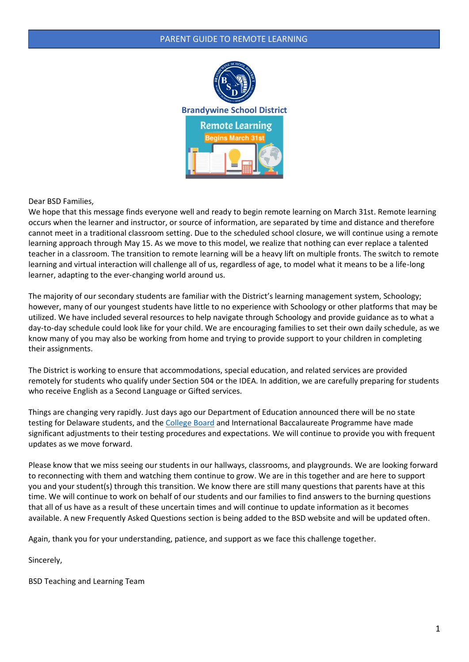

Dear BSD Families,

We hope that this message finds everyone well and ready to begin remote learning on March 31st. Remote learning occurs when the learner and instructor, or source of information, are separated by time and distance and therefore cannot meet in a traditional classroom setting. Due to the scheduled school closure, we will continue using a remote learning approach through May 15. As we move to this model, we realize that nothing can ever replace a talented teacher in a classroom. The transition to remote learning will be a heavy lift on multiple fronts. The switch to remote learning and virtual interaction will challenge all of us, regardless of age, to model what it means to be a life-long learner, adapting to the ever-changing world around us.

The majority of our secondary students are familiar with the District's learning management system, Schoology; however, many of our youngest students have little to no experience with Schoology or other platforms that may be utilized. We have included several resources to help navigate through Schoology and provide guidance as to what a day-to-day schedule could look like for your child. We are encouraging families to set their own daily schedule, as we know many of you may also be working from home and trying to provide support to your children in completing their assignments.

The District is working to ensure that accommodations, special education, and related services are provided remotely for students who qualify under Section 504 or the IDEA. In addition, we are carefully preparing for students who receive English as a Second Language or Gifted services.

Things are changing very rapidly. Just days ago our Department of Education announced there will be no state testing for Delaware students, and the [College Board](https://apcentral.collegeboard.org/about-ap/news-changes/coronavirus-update) and International Baccalaureate Programme have made significant adjustments to their testing procedures and expectations. We will continue to provide you with frequent updates as we move forward.

Please know that we miss seeing our students in our hallways, classrooms, and playgrounds. We are looking forward to reconnecting with them and watching them continue to grow. We are in this together and are here to support you and your student(s) through this transition. We know there are still many questions that parents have at this time. We will continue to work on behalf of our students and our families to find answers to the burning questions that all of us have as a result of these uncertain times and will continue to update information as it becomes available. A new Frequently Asked Questions section is being added to the BSD website and will be updated often.

Again, thank you for your understanding, patience, and support as we face this challenge together.

Sincerely,

BSD Teaching and Learning Team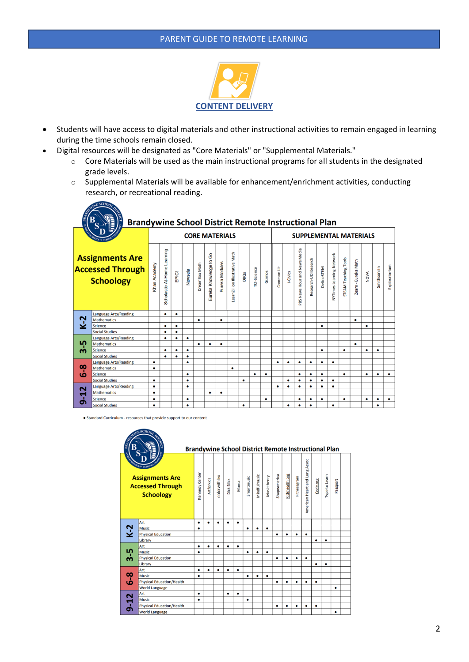

- Students will have access to digital materials and other instructional activities to remain engaged in learning during the time schools remain closed.
- Digital resources will be designated as "Core Materials" or "Supplemental Materials."
	- o Core Materials will be used as the main instructional programs for all students in the designated grade levels.
	- o Supplemental Materials will be available for enhancement/enrichment activities, conducting research, or recreational reading.

| ON<br>E                              | В<br><b>Brandywine School District Remote Instructional Plan</b>      |                                                                                                                                                                                                                                                                                                                                                                                                                                                                                                                                                                |                             |       |           |                       |                           |                |                                |           |             |        |                               |           |                              |                      |            |                          |                             |                     |             |             |               |
|--------------------------------------|-----------------------------------------------------------------------|----------------------------------------------------------------------------------------------------------------------------------------------------------------------------------------------------------------------------------------------------------------------------------------------------------------------------------------------------------------------------------------------------------------------------------------------------------------------------------------------------------------------------------------------------------------|-----------------------------|-------|-----------|-----------------------|---------------------------|----------------|--------------------------------|-----------|-------------|--------|-------------------------------|-----------|------------------------------|----------------------|------------|--------------------------|-----------------------------|---------------------|-------------|-------------|---------------|
|                                      |                                                                       |                                                                                                                                                                                                                                                                                                                                                                                                                                                                                                                                                                |                             |       |           | <b>CORE MATERIALS</b> |                           |                |                                |           |             |        | <b>SUPPLEMENTAL MATERIALS</b> |           |                              |                      |            |                          |                             |                     |             |             |               |
|                                      | <b>Assignments Are</b><br><b>Accessed Through</b><br><b>Schoology</b> | <han academy<="" th=""><th>Scholastic At-Home Learning</th><th>EPIC!</th><th>Newsela</th><th>DreamBox Math</th><th>රි<br/>Eureka Knowledge to</th><th>Eureka Modules</th><th>LearnZillion Illustrative Math</th><th>DBQs</th><th>TCI-Science</th><th>Gizmos</th><th>Common Lit</th><th>I-Civics</th><th>PBS News Hour and News Media</th><th>Research-UDlibsearch</th><th>DefineSTEM</th><th>NYTimes Learning Network</th><th><b>STEAM Teaching Tools</b></th><th>Zearn - Eureka Math</th><th><b>NOVA</b></th><th>Smithsonian</th><th>Exploratorium</th></han> | Scholastic At-Home Learning | EPIC! | Newsela   | DreamBox Math         | රි<br>Eureka Knowledge to | Eureka Modules | LearnZillion Illustrative Math | DBQs      | TCI-Science | Gizmos | Common Lit                    | I-Civics  | PBS News Hour and News Media | Research-UDlibsearch | DefineSTEM | NYTimes Learning Network | <b>STEAM Teaching Tools</b> | Zearn - Eureka Math | <b>NOVA</b> | Smithsonian | Exploratorium |
|                                      | <b>Language Arts/Reading</b>                                          |                                                                                                                                                                                                                                                                                                                                                                                                                                                                                                                                                                | $\bullet$                   | ٠     |           |                       |                           |                |                                |           |             |        |                               |           |                              |                      |            |                          |                             |                     |             |             |               |
| $K-2$                                | <b>Mathematics</b>                                                    |                                                                                                                                                                                                                                                                                                                                                                                                                                                                                                                                                                |                             |       |           | ٠                     |                           | ٠              |                                |           |             |        |                               |           |                              |                      |            |                          |                             | ٠                   |             |             |               |
|                                      | <b>Science</b>                                                        |                                                                                                                                                                                                                                                                                                                                                                                                                                                                                                                                                                | $\bullet$                   | ٠     |           |                       |                           |                |                                |           |             |        |                               |           |                              |                      | ٠          |                          |                             |                     | ٠           |             |               |
|                                      | <b>Social Studies</b>                                                 |                                                                                                                                                                                                                                                                                                                                                                                                                                                                                                                                                                | $\bullet$                   | ٠     |           |                       |                           |                |                                |           |             |        |                               |           |                              |                      |            |                          |                             |                     |             |             |               |
|                                      | <b>Language Arts/Reading</b>                                          |                                                                                                                                                                                                                                                                                                                                                                                                                                                                                                                                                                | $\bullet$                   | ٠     | ٠         |                       |                           |                |                                |           |             |        |                               |           |                              |                      |            |                          |                             |                     |             |             |               |
| ၯ                                    | <b>Mathematics</b>                                                    |                                                                                                                                                                                                                                                                                                                                                                                                                                                                                                                                                                |                             |       |           | ٠                     | ٠                         | $\bullet$      |                                |           |             |        |                               |           |                              |                      |            |                          |                             | $\bullet$           |             |             |               |
| ന                                    | <b>Science</b>                                                        |                                                                                                                                                                                                                                                                                                                                                                                                                                                                                                                                                                | ٠                           | ٠     | ٠         |                       |                           |                |                                |           |             |        |                               |           |                              |                      | ٠          |                          | $\bullet$                   |                     | ٠           | $\bullet$   |               |
|                                      | <b>Social Studies</b>                                                 |                                                                                                                                                                                                                                                                                                                                                                                                                                                                                                                                                                | $\bullet$                   |       | ٠         |                       |                           |                |                                |           |             |        |                               |           |                              |                      |            |                          |                             |                     |             |             |               |
| $\infty$<br>ە                        | <b>Language Arts/Reading</b>                                          | $\bullet$                                                                                                                                                                                                                                                                                                                                                                                                                                                                                                                                                      |                             |       | $\bullet$ |                       |                           |                |                                |           |             |        | ٠                             | ٠         | $\bullet$                    | $\bullet$            | ٠          | $\bullet$                |                             |                     |             |             |               |
|                                      | <b>Mathematics</b>                                                    | $\bullet$                                                                                                                                                                                                                                                                                                                                                                                                                                                                                                                                                      |                             |       |           |                       |                           |                | ۰                              |           |             |        |                               |           |                              |                      |            |                          |                             |                     |             |             |               |
|                                      | <b>Science</b>                                                        |                                                                                                                                                                                                                                                                                                                                                                                                                                                                                                                                                                |                             |       | ٠         |                       |                           |                |                                |           | ٠           | ٠      |                               |           | $\bullet$                    | $\bullet$            | ٠          |                          | $\bullet$                   |                     | ٠           | $\bullet$   | ٠             |
|                                      | <b>Social Studies</b>                                                 | $\bullet$                                                                                                                                                                                                                                                                                                                                                                                                                                                                                                                                                      |                             |       | $\bullet$ |                       |                           |                |                                | $\bullet$ |             |        |                               | ۰         | $\bullet$                    | $\bullet$            | ٠          | ٠                        |                             |                     |             |             |               |
| $\mathbf{\tilde{z}}$<br>$\mathbf{5}$ | <b>Language Arts/Reading</b>                                          | $\bullet$                                                                                                                                                                                                                                                                                                                                                                                                                                                                                                                                                      |                             |       | $\bullet$ |                       |                           |                |                                |           |             |        | ٠                             | ٠         | $\bullet$                    | $\bullet$            | $\bullet$  | $\bullet$                |                             |                     |             |             |               |
|                                      | <b>Mathematics</b>                                                    | $\bullet$                                                                                                                                                                                                                                                                                                                                                                                                                                                                                                                                                      |                             |       |           |                       | ٠                         | ٠              |                                |           |             |        |                               |           |                              |                      |            |                          |                             |                     |             |             |               |
|                                      | <b>Science</b>                                                        | ٠                                                                                                                                                                                                                                                                                                                                                                                                                                                                                                                                                              |                             |       | ٠         |                       |                           |                |                                |           |             | ٠      |                               |           | ٠                            | $\bullet$            | ٠          |                          | ٠                           |                     | ٠           | ٠           | $\bullet$     |
|                                      | <b>Social Studies</b>                                                 | $\bullet$                                                                                                                                                                                                                                                                                                                                                                                                                                                                                                                                                      |                             |       | $\bullet$ |                       |                           |                |                                | $\bullet$ |             |        |                               | $\bullet$ | $\bullet$                    | $\bullet$            |            | $\bullet$                |                             |                     |             | $\bullet$   |               |

• Standard Curriculum - resources that provide support to our content  $ESCHO<sub>O</sub>$ 

 $ESCHO<sub>O</sub>$ 

| EDIT<br>BR.<br>В<br><b>IECRY</b> | <b>OF</b><br>HOOLS . IST<br><b>Assignments Are</b><br><b>Accessed Through</b><br><b>Schoology</b> | <b>Brandywine School District Remote Instructional Plan</b><br>Kennedy Center | <b>Artforkids</b> | colorwithleo | <b>Dick Blick</b> | Moma      | Smartmusic | Mindfulmusic | Musictheory | Shapeamerica | Kidshealth.org | Fitnessgram | American Heart and Lung Assoc | Code.org  | Type to Learn | Passport  |  |
|----------------------------------|---------------------------------------------------------------------------------------------------|-------------------------------------------------------------------------------|-------------------|--------------|-------------------|-----------|------------|--------------|-------------|--------------|----------------|-------------|-------------------------------|-----------|---------------|-----------|--|
|                                  | Art                                                                                               | ٠                                                                             | ٠                 | ٠            | $\bullet$         | $\bullet$ |            |              |             |              |                |             |                               |           |               |           |  |
| $K-2$                            | <b>Music</b>                                                                                      | ٠                                                                             |                   |              |                   |           | ٠          | ۰            | ٠           |              |                |             |                               |           |               |           |  |
|                                  | <b>Physical Education</b>                                                                         |                                                                               |                   |              |                   |           |            |              |             | ٠            | $\bullet$      | $\bullet$   | $\bullet$                     |           |               |           |  |
|                                  | Library                                                                                           |                                                                               |                   |              |                   |           |            |              |             |              |                |             |                               | ٠         | ٠             |           |  |
|                                  | Art                                                                                               | ٠                                                                             | ٠                 | $\bullet$    | $\bullet$         | ٠         |            |              |             |              |                |             |                               |           |               |           |  |
|                                  | <b>Music</b>                                                                                      | $\bullet$                                                                     |                   |              |                   |           | ٠          | ۰            | ٠           |              |                |             |                               |           |               |           |  |
| $3-5$                            | <b>Physical Education</b>                                                                         |                                                                               |                   |              |                   |           |            |              |             | ٠            | ٠              | ٠           | $\bullet$                     |           |               |           |  |
|                                  | Library                                                                                           |                                                                               |                   |              |                   |           |            |              |             |              |                |             |                               | $\bullet$ | $\bullet$     |           |  |
|                                  | Art                                                                                               | ٠                                                                             | ٠                 | ٠            | $\bullet$         | ٠         |            |              |             |              |                |             |                               |           |               |           |  |
| $6-8$<br>$9 - 12$                | <b>Music</b>                                                                                      | ٠                                                                             |                   |              |                   |           | ٠          | ٠            | ٠           |              |                |             |                               |           |               |           |  |
|                                  | <b>Physical Education/Health</b>                                                                  |                                                                               |                   |              |                   |           |            |              |             | ۰            | $\bullet$      | $\bullet$   | $\bullet$                     | $\bullet$ |               |           |  |
|                                  | <b>World Language</b>                                                                             |                                                                               |                   |              |                   |           |            |              |             |              |                |             |                               |           |               | $\bullet$ |  |
|                                  | Art                                                                                               | $\bullet$                                                                     |                   |              | $\bullet$         | $\bullet$ |            |              |             |              |                |             |                               |           |               |           |  |
|                                  | <b>Music</b>                                                                                      | ٠                                                                             |                   |              |                   |           | ٠          |              |             |              |                |             |                               |           |               |           |  |
|                                  | <b>Physical Education/Health</b>                                                                  |                                                                               |                   |              |                   |           |            |              |             | ٠            | ٠              | $\bullet$   | $\bullet$                     | $\bullet$ |               |           |  |
|                                  | <b>World Language</b>                                                                             |                                                                               |                   |              |                   |           |            |              |             |              |                |             |                               |           |               | ٠         |  |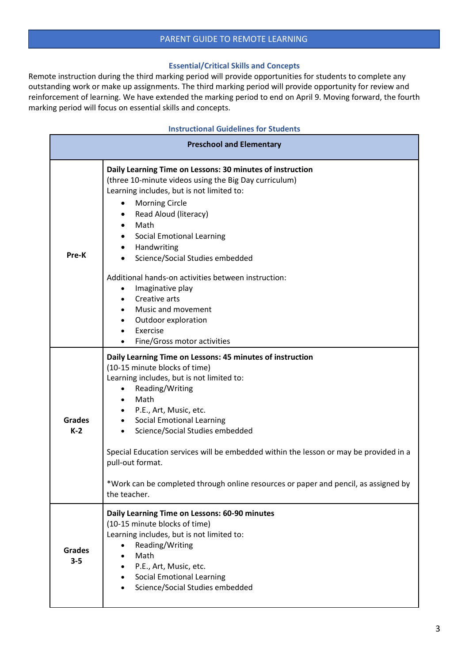## **Essential/Critical Skills and Concepts**

Remote instruction during the third marking period will provide opportunities for students to complete any outstanding work or make up assignments. The third marking period will provide opportunity for review and reinforcement of learning. We have extended the marking period to end on April 9. Moving forward, the fourth marking period will focus on essential skills and concepts.

| <b>Instructional Guidelines for Students</b> |                                                                                                                                                                                                                                                                                                                                                                                                                                                                                                                             |  |  |  |  |  |
|----------------------------------------------|-----------------------------------------------------------------------------------------------------------------------------------------------------------------------------------------------------------------------------------------------------------------------------------------------------------------------------------------------------------------------------------------------------------------------------------------------------------------------------------------------------------------------------|--|--|--|--|--|
|                                              | <b>Preschool and Elementary</b>                                                                                                                                                                                                                                                                                                                                                                                                                                                                                             |  |  |  |  |  |
| Pre-K                                        | Daily Learning Time on Lessons: 30 minutes of instruction<br>(three 10-minute videos using the Big Day curriculum)<br>Learning includes, but is not limited to:<br><b>Morning Circle</b><br>٠<br>Read Aloud (literacy)<br>Math<br>Social Emotional Learning<br>Handwriting<br>$\bullet$<br>Science/Social Studies embedded<br>Additional hands-on activities between instruction:<br>Imaginative play<br>Creative arts<br>Music and movement<br>Outdoor exploration<br>$\bullet$<br>Exercise<br>Fine/Gross motor activities |  |  |  |  |  |
| <b>Grades</b><br>$K-2$                       | Daily Learning Time on Lessons: 45 minutes of instruction<br>(10-15 minute blocks of time)<br>Learning includes, but is not limited to:<br>Reading/Writing<br>$\bullet$<br>Math<br>٠<br>P.E., Art, Music, etc.<br><b>Social Emotional Learning</b><br>$\bullet$<br>Science/Social Studies embedded<br>Special Education services will be embedded within the lesson or may be provided in a<br>pull-out format.<br>*Work can be completed through online resources or paper and pencil, as assigned by<br>the teacher.      |  |  |  |  |  |
| <b>Grades</b><br>$3 - 5$                     | Daily Learning Time on Lessons: 60-90 minutes<br>(10-15 minute blocks of time)<br>Learning includes, but is not limited to:<br>Reading/Writing<br>$\bullet$<br>Math<br>P.E., Art, Music, etc.<br><b>Social Emotional Learning</b><br>Science/Social Studies embedded                                                                                                                                                                                                                                                        |  |  |  |  |  |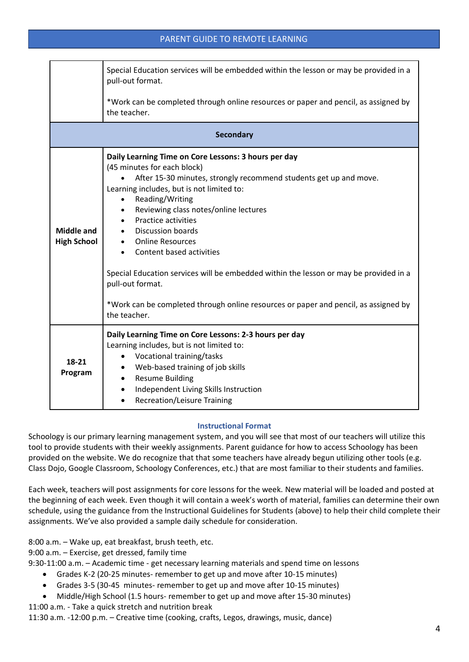|                                         | Special Education services will be embedded within the lesson or may be provided in a<br>pull-out format.                                                                                                                                                                                                                                                                                                                                                                                                                                                                                |  |  |  |  |  |  |  |  |
|-----------------------------------------|------------------------------------------------------------------------------------------------------------------------------------------------------------------------------------------------------------------------------------------------------------------------------------------------------------------------------------------------------------------------------------------------------------------------------------------------------------------------------------------------------------------------------------------------------------------------------------------|--|--|--|--|--|--|--|--|
|                                         | *Work can be completed through online resources or paper and pencil, as assigned by<br>the teacher.                                                                                                                                                                                                                                                                                                                                                                                                                                                                                      |  |  |  |  |  |  |  |  |
|                                         | <b>Secondary</b>                                                                                                                                                                                                                                                                                                                                                                                                                                                                                                                                                                         |  |  |  |  |  |  |  |  |
| <b>Middle and</b><br><b>High School</b> | Daily Learning Time on Core Lessons: 3 hours per day<br>(45 minutes for each block)<br>After 15-30 minutes, strongly recommend students get up and move.<br>Learning includes, but is not limited to:<br>Reading/Writing<br>Reviewing class notes/online lectures<br>Practice activities<br>Discussion boards<br><b>Online Resources</b><br>Content based activities<br>Special Education services will be embedded within the lesson or may be provided in a<br>pull-out format.<br>*Work can be completed through online resources or paper and pencil, as assigned by<br>the teacher. |  |  |  |  |  |  |  |  |
| 18-21<br>Program                        | Daily Learning Time on Core Lessons: 2-3 hours per day<br>Learning includes, but is not limited to:<br>Vocational training/tasks<br>Web-based training of job skills<br><b>Resume Building</b><br>Independent Living Skills Instruction<br><b>Recreation/Leisure Training</b>                                                                                                                                                                                                                                                                                                            |  |  |  |  |  |  |  |  |

## **Instructional Format**

Schoology is our primary learning management system, and you will see that most of our teachers will utilize this tool to provide students with their weekly assignments. Parent guidance for how to access Schoology has been provided on the website. We do recognize that that some teachers have already begun utilizing other tools (e.g. Class Dojo, Google Classroom, Schoology Conferences, etc.) that are most familiar to their students and families.

Each week, teachers will post assignments for core lessons for the week. New material will be loaded and posted at the beginning of each week. Even though it will contain a week's worth of material, families can determine their own schedule, using the guidance from the Instructional Guidelines for Students (above) to help their child complete their assignments. We've also provided a sample daily schedule for consideration.

8:00 a.m. – Wake up, eat breakfast, brush teeth, etc.

9:00 a.m. – Exercise, get dressed, family time

9:30-11:00 a.m. – Academic time - get necessary learning materials and spend time on lessons

- Grades K-2 (20-25 minutes- remember to get up and move after 10-15 minutes)
- Grades 3-5 (30-45 minutes- remember to get up and move after 10-15 minutes)
- Middle/High School (1.5 hours- remember to get up and move after 15-30 minutes)

11:00 a.m. - Take a quick stretch and nutrition break

11:30 a.m. -12:00 p.m. – Creative time (cooking, crafts, Legos, drawings, music, dance)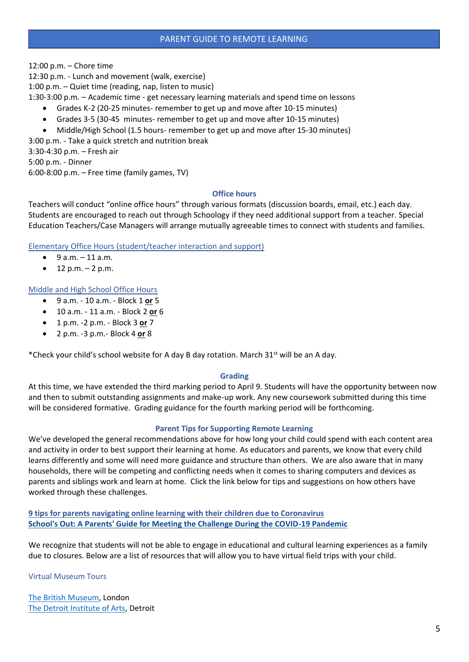12:00 p.m. – Chore time

12:30 p.m. - Lunch and movement (walk, exercise)

1:00 p.m. – Quiet time (reading, nap, listen to music)

1:30-3:00 p.m. – Academic time - get necessary learning materials and spend time on lessons

- Grades K-2 (20-25 minutes- remember to get up and move after 10-15 minutes)
- Grades 3-5 (30-45 minutes- remember to get up and move after 10-15 minutes)
- Middle/High School (1.5 hours- remember to get up and move after 15-30 minutes)

3:00 p.m. - Take a quick stretch and nutrition break

3:30-4:30 p.m. – Fresh air

5:00 p.m. - Dinner

6:00-8:00 p.m. – Free time (family games, TV)

## **Office hours**

Teachers will conduct "online office hours" through various formats (discussion boards, email, etc.) each day. Students are encouraged to reach out through Schoology if they need additional support from a teacher. Special Education Teachers/Case Managers will arrange mutually agreeable times to connect with students and families.

## Elementary Office Hours (student/teacher interaction and support)

- 9 a.m. 11 a.m.
- $12 p.m. 2 p.m.$

## Middle and High School Office Hours

- 9 a.m. 10 a.m. Block 1 **or** 5
- 10 a.m. 11 a.m. Block 2 **or** 6
- 1 p.m. -2 p.m. Block 3 **or** 7
- 2 p.m. -3 p.m.- Block 4 **or** 8

\*Check your child's school website for A day B day rotation. March 31<sup>st</sup> will be an A day.

## **Grading**

At this time, we have extended the third marking period to April 9. Students will have the opportunity between now and then to submit outstanding assignments and make-up work. Any new coursework submitted during this time will be considered formative. Grading guidance for the fourth marking period will be forthcoming.

## **Parent Tips for Supporting Remote Learning**

We've developed the general recommendations above for how long your child could spend with each content area and activity in order to best support their learning at home. As educators and parents, we know that every child learns differently and some will need more guidance and structure than others. We are also aware that in many households, there will be competing and conflicting needs when it comes to sharing computers and devices as parents and siblings work and learn at home. Click the link below for tips and suggestions on how others have worked through these challenges.

**[9 tips for parents navigating online learning with their children due to Coronavirus](https://nyulangone.org/news/schools-out-parents-guide-meeting-challenge-during-covid-19-pandemic) [School's Out: A Parents' Guide for Meeting the Challenge During the COVID-19 Pandemic](https://nyulangone.org/news/schools-out-parents-guide-meeting-challenge-during-covid-19-pandemic)**

We recognize that students will not be able to engage in educational and cultural learning experiences as a family due to closures. Below are a list of resources that will allow you to have virtual field trips with your child.

Virtual Museum Tours

[The British Museum,](https://britishmuseum.withgoogle.com/) London [The Detroit Institute of Arts,](https://artsandculture.google.com/partner/detroit-institute-of-arts?hl=en) Detroit